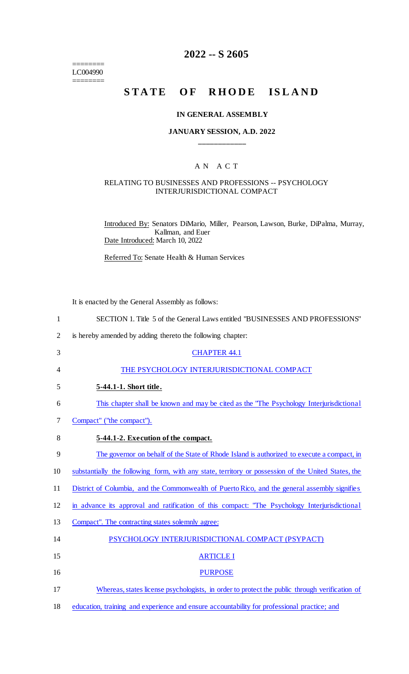======== LC004990 ========

## **2022 -- S 2605**

# STATE OF RHODE ISLAND

#### **IN GENERAL ASSEMBLY**

#### **JANUARY SESSION, A.D. 2022 \_\_\_\_\_\_\_\_\_\_\_\_**

#### A N A C T

#### RELATING TO BUSINESSES AND PROFESSIONS -- PSYCHOLOGY INTERJURISDICTIONAL COMPACT

Introduced By: Senators DiMario, Miller, Pearson, Lawson, Burke, DiPalma, Murray, Kallman, and Euer Date Introduced: March 10, 2022

Referred To: Senate Health & Human Services

It is enacted by the General Assembly as follows:

| $\mathbf{1}$   | SECTION 1. Title 5 of the General Laws entitled "BUSINESSES AND PROFESSIONS"                        |
|----------------|-----------------------------------------------------------------------------------------------------|
| $\overline{2}$ | is hereby amended by adding thereto the following chapter:                                          |
| 3              | <b>CHAPTER 44.1</b>                                                                                 |
| 4              | THE PSYCHOLOGY INTERJURISDICTIONAL COMPACT                                                          |
| 5              | 5-44.1-1. Short title.                                                                              |
| 6              | This chapter shall be known and may be cited as the "The Psychology Interjurisdictional             |
| 7              | Compact" ("the compact").                                                                           |
| 8              | 5-44.1-2. Execution of the compact.                                                                 |
| 9              | The governor on behalf of the State of Rhode Island is authorized to execute a compact, in          |
| 10             | substantially the following form, with any state, territory or possession of the United States, the |
| 11             | District of Columbia, and the Commonwealth of Puerto Rico, and the general assembly signifies       |
| 12             | in advance its approval and ratification of this compact: "The Psychology Interjurisdictional       |
| 13             | Compact". The contracting states solemnly agree:                                                    |
| 14             | PSYCHOLOGY INTERJURISDICTIONAL COMPACT (PSYPACT)                                                    |
| 15             | <b>ARTICLE I</b>                                                                                    |
| 16             | <b>PURPOSE</b>                                                                                      |
| 17             | Whereas, states license psychologists, in order to protect the public through verification of       |
| 18             | education, training and experience and ensure accountability for professional practice; and         |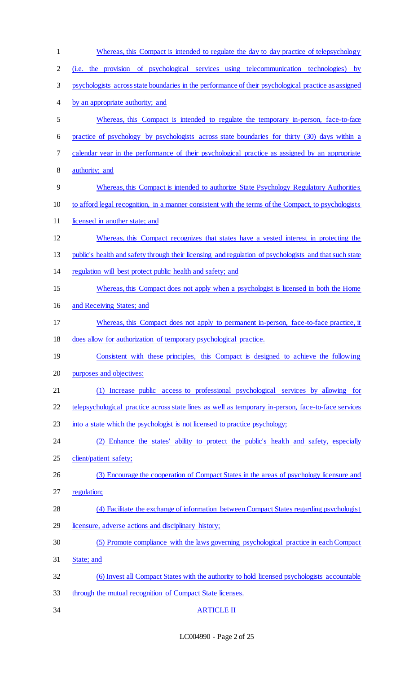| $\mathbf{1}$   | Whereas, this Compact is intended to regulate the day to day practice of telepsychology                |
|----------------|--------------------------------------------------------------------------------------------------------|
| $\overline{2}$ | (i.e. the provision of psychological services using telecommunication technologies)<br>by              |
| 3              | psychologists across state boundaries in the performance of their psychological practice as assigned   |
| 4              | by an appropriate authority; and                                                                       |
| 5              | Whereas, this Compact is intended to regulate the temporary in-person, face-to-face                    |
| 6              | practice of psychology by psychologists across state boundaries for thirty (30) days within a          |
| 7              | calendar year in the performance of their psychological practice as assigned by an appropriate         |
| 8              | authority; and                                                                                         |
| 9              | Whereas, this Compact is intended to authorize State Psychology Regulatory Authorities                 |
| 10             | to afford legal recognition, in a manner consistent with the terms of the Compact, to psychologists    |
| 11             | licensed in another state; and                                                                         |
| 12             | Whereas, this Compact recognizes that states have a vested interest in protecting the                  |
| 13             | public's health and safety through their licensing and regulation of psychologists and that such state |
| 14             | regulation will best protect public health and safety; and                                             |
| 15             | Whereas, this Compact does not apply when a psychologist is licensed in both the Home                  |
| 16             | and Receiving States; and                                                                              |
| 17             | Whereas, this Compact does not apply to permanent in-person, face-to-face practice, it                 |
| 18             | does allow for authorization of temporary psychological practice.                                      |
| 19             | Consistent with these principles, this Compact is designed to achieve the following                    |
| 20             | purposes and objectives:                                                                               |
| 21             | (1) Increase public access to professional psychological services by allowing for                      |
| 22             | telepsychological practice across state lines as well as temporary in-person, face-to-face services    |
| 23             | into a state which the psychologist is not licensed to practice psychology;                            |
| 24             | (2) Enhance the states' ability to protect the public's health and safety, especially                  |
| 25             | client/patient safety;                                                                                 |
| 26             | (3) Encourage the cooperation of Compact States in the areas of psychology licensure and               |
| 27             | regulation;                                                                                            |
| 28             | (4) Facilitate the exchange of information between Compact States regarding psychologist               |
| 29             | licensure, adverse actions and disciplinary history;                                                   |
| 30             | (5) Promote compliance with the laws governing psychological practice in each Compact                  |
| 31             | State; and                                                                                             |
| 32             | (6) Invest all Compact States with the authority to hold licensed psychologists accountable            |
| 33             | through the mutual recognition of Compact State licenses.                                              |
| 34             | <b>ARTICLE II</b>                                                                                      |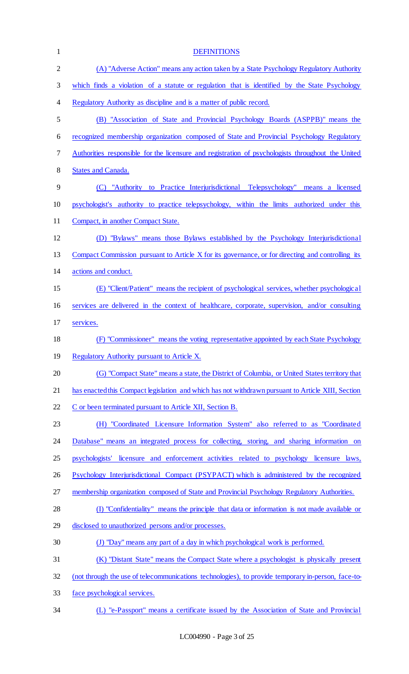| $\mathbf{1}$ | <b>DEFINITIONS</b>                                                                                 |
|--------------|----------------------------------------------------------------------------------------------------|
| $\mathbf{2}$ | (A) "Adverse Action" means any action taken by a State Psychology Regulatory Authority             |
| 3            | which finds a violation of a statute or regulation that is identified by the State Psychology      |
| 4            | Regulatory Authority as discipline and is a matter of public record.                               |
| 5            | (B) "Association of State and Provincial Psychology Boards (ASPPB)" means the                      |
| 6            | recognized membership organization composed of State and Provincial Psychology Regulatory          |
| 7            | Authorities responsible for the licensure and registration of psychologists throughout the United  |
| 8            | <b>States and Canada.</b>                                                                          |
| 9            | to Practice Interjurisdictional Telepsychology" means a licensed<br>"Authority<br>(C)              |
| 10           | psychologist's authority to practice telepsychology, within the limits authorized under this       |
| 11           | Compact, in another Compact State.                                                                 |
| 12           | (D) "Bylaws" means those Bylaws established by the Psychology Interjurisdictional                  |
| 13           | Compact Commission pursuant to Article X for its governance, or for directing and controlling its  |
| 14           | actions and conduct.                                                                               |
| 15           | (E) "Client/Patient" means the recipient of psychological services, whether psychological          |
| 16           | services are delivered in the context of healthcare, corporate, supervision, and/or consulting     |
| 17           | services.                                                                                          |
| 18           | (F) "Commissioner" means the voting representative appointed by each State Psychology              |
| 19           | Regulatory Authority pursuant to Article X.                                                        |
| 20           | (G) "Compact State" means a state, the District of Columbia, or United States territory that       |
| 21           | has enacted this Compact legislation and which has not withdrawn pursuant to Article XIII, Section |
| 22           | C or been terminated pursuant to Article XII, Section B.                                           |
| 23           | (H) "Coordinated Licensure Information System" also referred to as "Coordinated                    |
| 24           | Database" means an integrated process for collecting, storing, and sharing information on          |
| 25           | licensure and enforcement activities related to psychology licensure laws,<br>psychologists'       |
| 26           | Psychology Interjurisdictional Compact (PSYPACT) which is administered by the recognized           |
| 27           | membership organization composed of State and Provincial Psychology Regulatory Authorities.        |
| 28           | (I) "Confidentiality" means the principle that data or information is not made available or        |
| 29           | disclosed to unauthorized persons and/or processes.                                                |
| 30           | (J) "Day" means any part of a day in which psychological work is performed.                        |
| 31           | (K) "Distant State" means the Compact State where a psychologist is physically present             |
| 32           | (not through the use of telecommunications technologies), to provide temporary in-person, face-to- |
| 33           | face psychological services.                                                                       |
| 34           | (L) "e-Passport" means a certificate issued by the Association of State and Provincial             |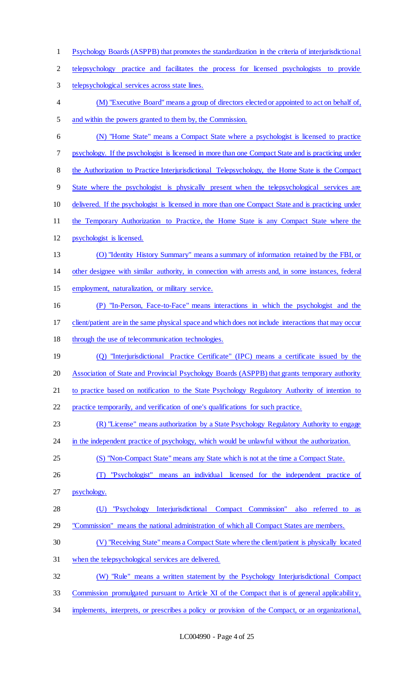Psychology Boards (ASPPB) that promotes the standardization in the criteria of interjurisdictional telepsychology practice and facilitates the process for licensed psychologists to provide telepsychological services across state lines. (M) "Executive Board" means a group of directors elected or appointed to act on behalf of, and within the powers granted to them by, the Commission. (N) "Home State" means a Compact State where a psychologist is licensed to practice psychology. If the psychologist is licensed in more than one Compact State and is practicing under 8 the Authorization to Practice Interjurisdictional Telepsychology, the Home State is the Compact State where the psychologist is physically present when the telepsychological services are delivered. If the psychologist is licensed in more than one Compact State and is practicing under the Temporary Authorization to Practice, the Home State is any Compact State where the psychologist is licensed. (O) "Identity History Summary" means a summary of information retained by the FBI, or other designee with similar authority, in connection with arrests and, in some instances, federal employment, naturalization, or military service. (P) "In-Person, Face-to-Face" means interactions in which the psychologist and the client/patient are in the same physical space and which does not include interactions that may occur through the use of telecommunication technologies. (Q) "Interjurisdictional Practice Certificate" (IPC) means a certificate issued by the Association of State and Provincial Psychology Boards (ASPPB) that grants temporary authority to practice based on notification to the State Psychology Regulatory Authority of intention to practice temporarily, and verification of one's qualifications for such practice. (R) "License" means authorization by a State Psychology Regulatory Authority to engage 24 in the independent practice of psychology, which would be unlawful without the authorization. (S) "Non-Compact State" means any State which is not at the time a Compact State. (T) "Psychologist" means an individual licensed for the independent practice of psychology. (U) "Psychology Interjurisdictional Compact Commission" also referred to as "Commission" means the national administration of which all Compact States are members. (V) "Receiving State" means a Compact State where the client/patient is physically located when the telepsychological services are delivered. (W) "Rule" means a written statement by the Psychology Interjurisdictional Compact 33 Commission promulgated pursuant to Article XI of the Compact that is of general applicability, implements, interprets, or prescribes a policy or provision of the Compact, or an organizational,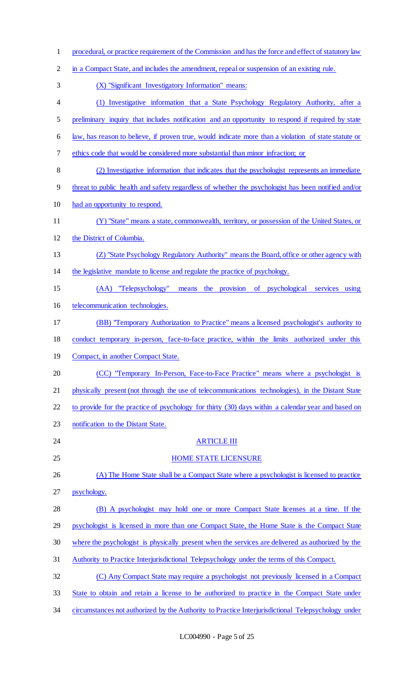| $\mathbf{1}$   | procedural, or practice requirement of the Commission and has the force and effect of statutory law  |
|----------------|------------------------------------------------------------------------------------------------------|
| $\overline{2}$ | in a Compact State, and includes the amendment, repeal or suspension of an existing rule.            |
| 3              | (X) "Significant Investigatory Information" means:                                                   |
| $\overline{4}$ | (1) Investigative information that a State Psychology Regulatory Authority, after a                  |
| 5              | preliminary inquiry that includes notification and an opportunity to respond if required by state    |
| 6              | law, has reason to believe, if proven true, would indicate more than a violation of state statute or |
| 7              | ethics code that would be considered more substantial than minor infraction; or                      |
| 8              | (2) Investigative information that indicates that the psychologist represents an immediate           |
| 9              | threat to public health and safety regardless of whether the psychologist has been notified and/or   |
| 10             | had an opportunity to respond.                                                                       |
| 11             | (Y) "State" means a state, commonwealth, territory, or possession of the United States, or           |
| 12             | the District of Columbia.                                                                            |
| 13             | (Z) "State Psychology Regulatory Authority" means the Board, office or other agency with             |
| 14             | the legislative mandate to license and regulate the practice of psychology.                          |
| 15             | (AA) "Telepsychology" means the provision of psychological services using                            |
| 16             | telecommunication technologies.                                                                      |
| 17             | (BB) "Temporary Authorization to Practice" means a licensed psychologist's authority to              |
| 18             | conduct temporary in-person, face-to-face practice, within the limits authorized under this          |
| 19             | Compact, in another Compact State.                                                                   |
| 20             | (CC) "Temporary In-Person, Face-to-Face Practice" means where a psychologist is                      |
| 21             | physically present (not through the use of telecommunications technologies), in the Distant State    |
| 22             | to provide for the practice of psychology for thirty (30) days within a calendar year and based on   |
| 23             | notification to the Distant State.                                                                   |
| 24             | <b>ARTICLE III</b>                                                                                   |
| 25             | <b>HOME STATE LICENSURE</b>                                                                          |
| 26             | (A) The Home State shall be a Compact State where a psychologist is licensed to practice             |
| 27             | psychology.                                                                                          |
| 28             | (B) A psychologist may hold one or more Compact State licenses at a time. If the                     |
| 29             | psychologist is licensed in more than one Compact State, the Home State is the Compact State         |
| 30             | where the psychologist is physically present when the services are delivered as authorized by the    |
| 31             | Authority to Practice Interjurisdictional Telepsychology under the terms of this Compact.            |
| 32             | (C) Any Compact State may require a psychologist not previously licensed in a Compact                |
| 33             | State to obtain and retain a license to be authorized to practice in the Compact State under         |
| 34             | circumstances not authorized by the Authority to Practice Interjurisdictional Telepsychology under   |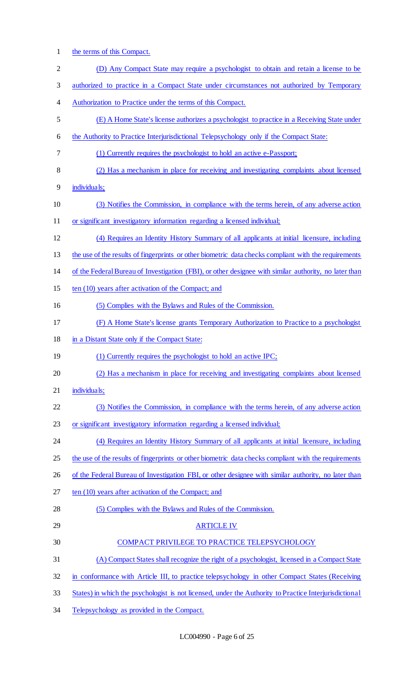1 the terms of this Compact.

| $\overline{c}$ | (D) Any Compact State may require a psychologist to obtain and retain a license to be                  |
|----------------|--------------------------------------------------------------------------------------------------------|
| 3              | authorized to practice in a Compact State under circumstances not authorized by Temporary              |
| 4              | Authorization to Practice under the terms of this Compact.                                             |
| 5              | (E) A Home State's license authorizes a psychologist to practice in a Receiving State under            |
| 6              | the Authority to Practice Interjurisdictional Telepsychology only if the Compact State:                |
| 7              | (1) Currently requires the psychologist to hold an active e-Passport;                                  |
| 8              | (2) Has a mechanism in place for receiving and investigating complaints about licensed                 |
| 9              | individuals;                                                                                           |
| 10             | (3) Notifies the Commission, in compliance with the terms herein, of any adverse action                |
| 11             | or significant investigatory information regarding a licensed individual;                              |
| 12             | (4) Requires an Identity History Summary of all applicants at initial licensure, including             |
| 13             | the use of the results of fingerprints or other biometric data checks compliant with the requirements  |
| 14             | of the Federal Bureau of Investigation (FBI), or other designee with similar authority, no later than  |
| 15             | ten (10) years after activation of the Compact; and                                                    |
| 16             | (5) Complies with the Bylaws and Rules of the Commission.                                              |
| 17             | (F) A Home State's license grants Temporary Authorization to Practice to a psychologist                |
| 18             | in a Distant State only if the Compact State:                                                          |
| 19             | (1) Currently requires the psychologist to hold an active IPC;                                         |
| 20             | (2) Has a mechanism in place for receiving and investigating complaints about licensed                 |
| 21             | individuals;                                                                                           |
| 22             | (3) Notifies the Commission, in compliance with the terms herein, of any adverse action                |
| 23             | or significant investigatory information regarding a licensed individual;                              |
| 24             | (4) Requires an Identity History Summary of all applicants at initial licensure, including             |
| 25             | the use of the results of fingerprints or other biometric data checks compliant with the requirements  |
| 26             | of the Federal Bureau of Investigation FBI, or other designee with similar authority, no later than    |
| 27             | ten (10) years after activation of the Compact; and                                                    |
| 28             | (5) Complies with the Bylaws and Rules of the Commission.                                              |
| 29             | <b>ARTICLE IV</b>                                                                                      |
| 30             | COMPACT PRIVILEGE TO PRACTICE TELEPSYCHOLOGY                                                           |
| 31             | (A) Compact States shall recognize the right of a psychologist, licensed in a Compact State            |
| 32             | in conformance with Article III, to practice telepsychology in other Compact States (Receiving         |
| 33             | States) in which the psychologist is not licensed, under the Authority to Practice Interjurisdictional |

34 Telepsychology as provided in the Compact.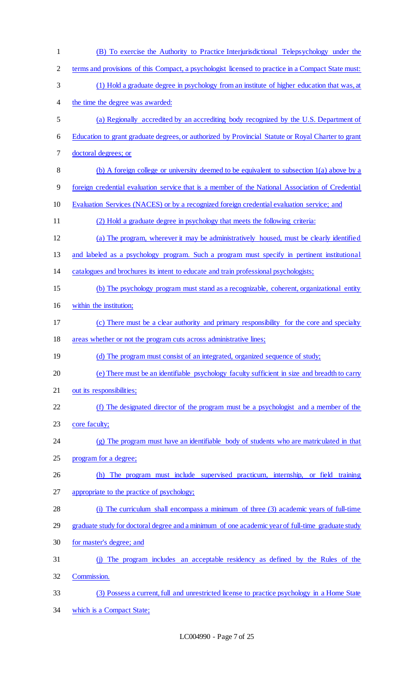(B) To exercise the Authority to Practice Interjurisdictional Telepsychology under the terms and provisions of this Compact, a psychologist licensed to practice in a Compact State must: (1) Hold a graduate degree in psychology from an institute of higher education that was, at the time the degree was awarded: (a) Regionally accredited by an accrediting body recognized by the U.S. Department of Education to grant graduate degrees, or authorized by Provincial Statute or Royal Charter to grant doctoral degrees; or (b) A foreign college or university deemed to be equivalent to subsection 1(a) above by a foreign credential evaluation service that is a member of the National Association of Credential Evaluation Services (NACES) or by a recognized foreign credential evaluation service; and (2) Hold a graduate degree in psychology that meets the following criteria: (a) The program, wherever it may be administratively housed, must be clearly identified and labeled as a psychology program. Such a program must specify in pertinent institutional catalogues and brochures its intent to educate and train professional psychologists; (b) The psychology program must stand as a recognizable, coherent, organizational entity within the institution; (c) There must be a clear authority and primary responsibility for the core and specialty areas whether or not the program cuts across administrative lines; 19 (d) The program must consist of an integrated, organized sequence of study; (e) There must be an identifiable psychology faculty sufficient in size and breadth to carry 21 out its responsibilities; (f) The designated director of the program must be a psychologist and a member of the 23 core faculty; (g) The program must have an identifiable body of students who are matriculated in that program for a degree; (h) The program must include supervised practicum, internship, or field training appropriate to the practice of psychology; (i) The curriculum shall encompass a minimum of three (3) academic years of full-time graduate study for doctoral degree and a minimum of one academic year of full-time graduate study for master's degree; and (j) The program includes an acceptable residency as defined by the Rules of the Commission. (3) Possess a current, full and unrestricted license to practice psychology in a Home State which is a Compact State;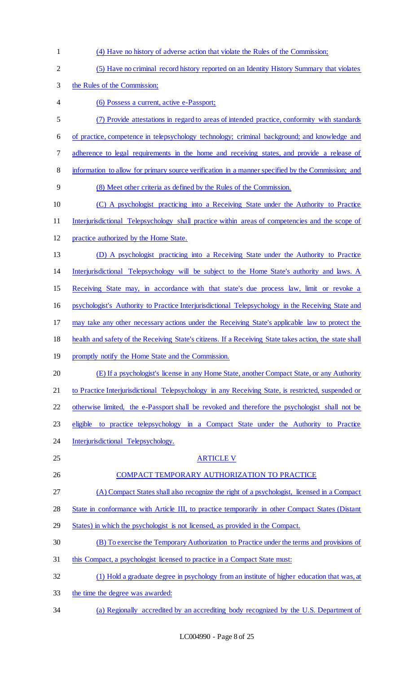| $\mathbf{1}$   | (4) Have no history of adverse action that violate the Rules of the Commission;                         |
|----------------|---------------------------------------------------------------------------------------------------------|
| $\mathbf{2}$   | (5) Have no criminal record history reported on an Identity History Summary that violates               |
| 3              | the Rules of the Commission;                                                                            |
| $\overline{4}$ | (6) Possess a current, active e-Passport;                                                               |
| 5              | (7) Provide attestations in regard to areas of intended practice, conformity with standards             |
| 6              | of practice, competence in telepsychology technology; criminal background; and knowledge and            |
| $\tau$         | adherence to legal requirements in the home and receiving states, and provide a release of              |
| 8              | information to allow for primary source verification in a manner specified by the Commission; and       |
| 9              | (8) Meet other criteria as defined by the Rules of the Commission.                                      |
| 10             | (C) A psychologist practicing into a Receiving State under the Authority to Practice                    |
| 11             | Interjurisdictional Telepsychology shall practice within areas of competencies and the scope of         |
| 12             | practice authorized by the Home State.                                                                  |
| 13             | (D) A psychologist practicing into a Receiving State under the Authority to Practice                    |
| 14             | Interjurisdictional Telepsychology will be subject to the Home State's authority and laws. A            |
| 15             | Receiving State may, in accordance with that state's due process law, limit or revoke a                 |
| 16             | psychologist's Authority to Practice Interjurisdictional Telepsychology in the Receiving State and      |
| 17             | may take any other necessary actions under the Receiving State's applicable law to protect the          |
| 18             | health and safety of the Receiving State's citizens. If a Receiving State takes action, the state shall |
| 19             | promptly notify the Home State and the Commission.                                                      |
| 20             | (E) If a psychologist's license in any Home State, another Compact State, or any Authority              |
| 21             | to Practice Interjurisdictional Telepsychology in any Receiving State, is restricted, suspended or      |
| 22             | otherwise limited, the e-Passport shall be revoked and therefore the psychologist shall not be          |
| 23             | to practice telepsychology in a Compact State under the Authority to Practice<br>eligible               |
| 24             | Interjurisdictional Telepsychology.                                                                     |
| 25             | <b>ARTICLE V</b>                                                                                        |
| 26             | COMPACT TEMPORARY AUTHORIZATION TO PRACTICE                                                             |
| 27             | (A) Compact States shall also recognize the right of a psychologist, licensed in a Compact              |
| 28             | State in conformance with Article III, to practice temporarily in other Compact States (Distant         |
| 29             | States) in which the psychologist is not licensed, as provided in the Compact.                          |
| 30             | (B) To exercise the Temporary Authorization to Practice under the terms and provisions of               |
| 31             | this Compact, a psychologist licensed to practice in a Compact State must:                              |
| 32             | (1) Hold a graduate degree in psychology from an institute of higher education that was, at             |
| 33             | the time the degree was awarded:                                                                        |
| 34             | (a) Regionally accredited by an accrediting body recognized by the U.S. Department of                   |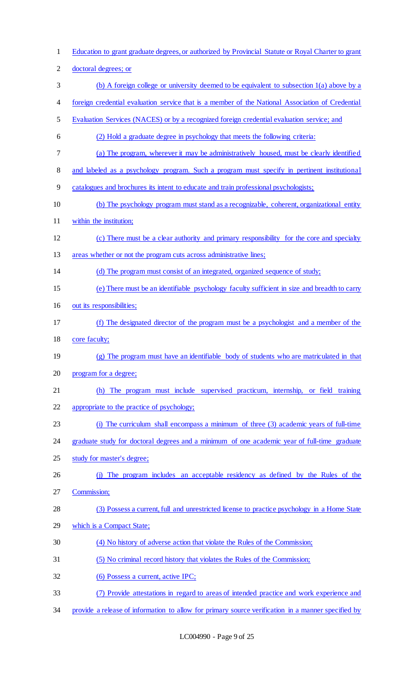- Education to grant graduate degrees, or authorized by Provincial Statute or Royal Charter to grant doctoral degrees; or (b) A foreign college or university deemed to be equivalent to subsection 1(a) above by a foreign credential evaluation service that is a member of the National Association of Credential Evaluation Services (NACES) or by a recognized foreign credential evaluation service; and (2) Hold a graduate degree in psychology that meets the following criteria: (a) The program, wherever it may be administratively housed, must be clearly identified and labeled as a psychology program. Such a program must specify in pertinent institutional catalogues and brochures its intent to educate and train professional psychologists; (b) The psychology program must stand as a recognizable, coherent, organizational entity within the institution; (c) There must be a clear authority and primary responsibility for the core and specialty 13 areas whether or not the program cuts across administrative lines; (d) The program must consist of an integrated, organized sequence of study; (e) There must be an identifiable psychology faculty sufficient in size and breadth to carry out its responsibilities; (f) The designated director of the program must be a psychologist and a member of the core faculty; (g) The program must have an identifiable body of students who are matriculated in that program for a degree; (h) The program must include supervised practicum, internship, or field training appropriate to the practice of psychology; (i) The curriculum shall encompass a minimum of three (3) academic years of full-time graduate study for doctoral degrees and a minimum of one academic year of full-time graduate study for master's degree; (j) The program includes an acceptable residency as defined by the Rules of the Commission; (3) Possess a current, full and unrestricted license to practice psychology in a Home State which is a Compact State; (4) No history of adverse action that violate the Rules of the Commission; (5) No criminal record history that violates the Rules of the Commission; 32 (6) Possess a current, active IPC; (7) Provide attestations in regard to areas of intended practice and work experience and
- provide a release of information to allow for primary source verification in a manner specified by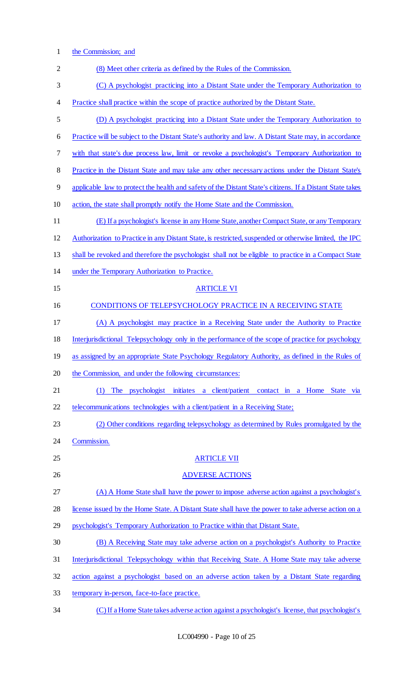1 the Commission; and

| $\overline{2}$ | (8) Meet other criteria as defined by the Rules of the Commission.                                        |
|----------------|-----------------------------------------------------------------------------------------------------------|
| 3              | (C) A psychologist practicing into a Distant State under the Temporary Authorization to                   |
| 4              | Practice shall practice within the scope of practice authorized by the Distant State.                     |
| 5              | (D) A psychologist practicing into a Distant State under the Temporary Authorization to                   |
| 6              | Practice will be subject to the Distant State's authority and law. A Distant State may, in accordance     |
| 7              | with that state's due process law, limit or revoke a psychologist's Temporary Authorization to            |
| 8              | Practice in the Distant State and may take any other necessary actions under the Distant State's          |
| 9              | applicable law to protect the health and safety of the Distant State's citizens. If a Distant State takes |
| 10             | action, the state shall promptly notify the Home State and the Commission.                                |
| 11             | (E) If a psychologist's license in any Home State, another Compact State, or any Temporary                |
| 12             | Authorization to Practice in any Distant State, is restricted, suspended or otherwise limited, the IPC    |
| 13             | shall be revoked and therefore the psychologist shall not be eligible to practice in a Compact State      |
| 14             | under the Temporary Authorization to Practice.                                                            |
| 15             | <b>ARTICLE VI</b>                                                                                         |
| 16             | <b>CONDITIONS OF TELEPSYCHOLOGY PRACTICE IN A RECEIVING STATE</b>                                         |
| 17             | (A) A psychologist may practice in a Receiving State under the Authority to Practice                      |
| 18             | Interjurisdictional Telepsychology only in the performance of the scope of practice for psychology        |
| 19             | as assigned by an appropriate State Psychology Regulatory Authority, as defined in the Rules of           |
| 20             | the Commission, and under the following circumstances:                                                    |
| 21             | The psychologist initiates a client/patient contact in a Home State via<br>(1)                            |
| 22             | telecommunications technologies with a client/patient in a Receiving State;                               |
| 23             | (2) Other conditions regarding telepsychology as determined by Rules promulgated by the                   |
| 24             | Commission.                                                                                               |
| 25             | <b>ARTICLE VII</b>                                                                                        |
| 26             | <b>ADVERSE ACTIONS</b>                                                                                    |
| 27             | (A) A Home State shall have the power to impose adverse action against a psychologist's                   |
| 28             | license issued by the Home State. A Distant State shall have the power to take adverse action on a        |
| 29             | psychologist's Temporary Authorization to Practice within that Distant State.                             |
| 30             | (B) A Receiving State may take adverse action on a psychologist's Authority to Practice                   |
| 31             | Interjurisdictional Telepsychology within that Receiving State. A Home State may take adverse             |
| 32             | action against a psychologist based on an adverse action taken by a Distant State regarding               |
| 33             | temporary in-person, face-to-face practice.                                                               |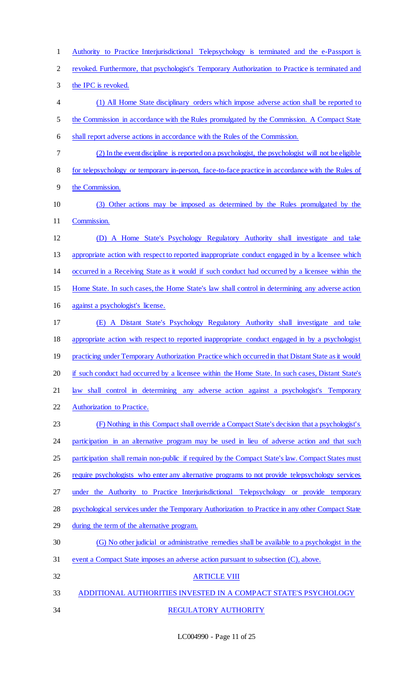Authority to Practice Interjurisdictional Telepsychology is terminated and the e-Passport is

revoked. Furthermore, that psychologist's Temporary Authorization to Practice is terminated and

the IPC is revoked.

 (1) All Home State disciplinary orders which impose adverse action shall be reported to the Commission in accordance with the Rules promulgated by the Commission. A Compact State shall report adverse actions in accordance with the Rules of the Commission.

- (2) In the event discipline is reported on a psychologist, the psychologist will not be eligible for telepsychology or temporary in-person, face-to-face practice in accordance with the Rules of
- the Commission.
- (3) Other actions may be imposed as determined by the Rules promulgated by the Commission.
- (D) A Home State's Psychology Regulatory Authority shall investigate and take appropriate action with respect to reported inappropriate conduct engaged in by a licensee which occurred in a Receiving State as it would if such conduct had occurred by a licensee within the
- Home State. In such cases, the Home State's law shall control in determining any adverse action
- against a psychologist's license.
- (E) A Distant State's Psychology Regulatory Authority shall investigate and take appropriate action with respect to reported inappropriate conduct engaged in by a psychologist 19 practicing under Temporary Authorization Practice which occurred in that Distant State as it would 20 if such conduct had occurred by a licensee within the Home State. In such cases, Distant State's law shall control in determining any adverse action against a psychologist's Temporary Authorization to Practice.

 (F) Nothing in this Compact shall override a Compact State's decision that a psychologist's 24 participation in an alternative program may be used in lieu of adverse action and that such 25 participation shall remain non-public if required by the Compact State's law. Compact States must 26 require psychologists who enter any alternative programs to not provide telepsychology services under the Authority to Practice Interjurisdictional Telepsychology or provide temporary psychological services under the Temporary Authorization to Practice in any other Compact State

- during the term of the alternative program.
- (G) No other judicial or administrative remedies shall be available to a psychologist in the
- event a Compact State imposes an adverse action pursuant to subsection (C), above.
- ARTICLE VIII
- ADDITIONAL AUTHORITIES INVESTED IN A COMPACT STATE'S PSYCHOLOGY
- 
- REGULATORY AUTHORITY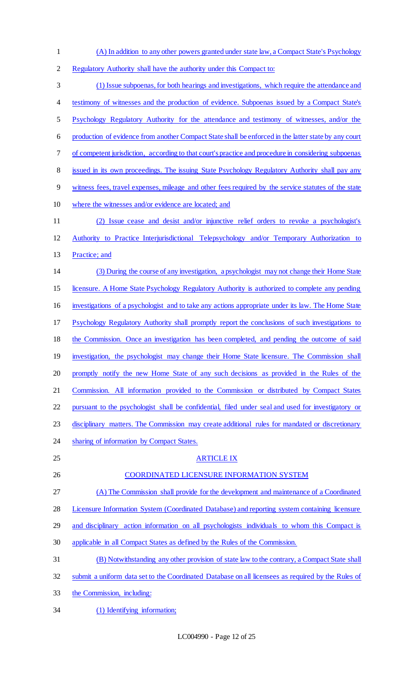- (A) In addition to any other powers granted under state law, a Compact State's Psychology
- Regulatory Authority shall have the authority under this Compact to:
- (1) Issue subpoenas, for both hearings and investigations, which require the attendance and 4 testimony of witnesses and the production of evidence. Subpoenas issued by a Compact State's Psychology Regulatory Authority for the attendance and testimony of witnesses, and/or the production of evidence from another Compact State shall be enforced in the latter state by any court of competent jurisdiction, according to that court's practice and procedure in considering subpoenas 8 issued in its own proceedings. The issuing State Psychology Regulatory Authority shall pay any witness fees, travel expenses, mileage and other fees required by the service statutes of the state where the witnesses and/or evidence are located; and (2) Issue cease and desist and/or injunctive relief orders to revoke a psychologist's Authority to Practice Interjurisdictional Telepsychology and/or Temporary Authorization to Practice; and (3) During the course of any investigation, a psychologist may not change their Home State licensure. A Home State Psychology Regulatory Authority is authorized to complete any pending investigations of a psychologist and to take any actions appropriate under its law. The Home State Psychology Regulatory Authority shall promptly report the conclusions of such investigations to the Commission. Once an investigation has been completed, and pending the outcome of said 19 investigation, the psychologist may change their Home State licensure. The Commission shall promptly notify the new Home State of any such decisions as provided in the Rules of the Commission. All information provided to the Commission or distributed by Compact States pursuant to the psychologist shall be confidential, filed under seal and used for investigatory or disciplinary matters. The Commission may create additional rules for mandated or discretionary 24 sharing of information by Compact States. ARTICLE IX COORDINATED LICENSURE INFORMATION SYSTEM (A) The Commission shall provide for the development and maintenance of a Coordinated Licensure Information System (Coordinated Database) and reporting system containing licensure and disciplinary action information on all psychologists individuals to whom this Compact is applicable in all Compact States as defined by the Rules of the Commission. (B) Notwithstanding any other provision of state law to the contrary, a Compact State shall submit a uniform data set to the Coordinated Database on all licensees as required by the Rules of the Commission, including: (1) Identifying information;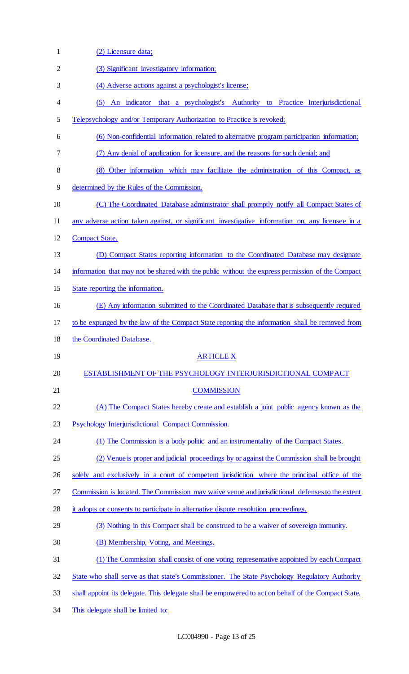| $\mathbf{1}$ | (2) Licensure data;                                                                                 |
|--------------|-----------------------------------------------------------------------------------------------------|
| 2            | (3) Significant investigatory information;                                                          |
| 3            | (4) Adverse actions against a psychologist's license;                                               |
| 4            | (5) An indicator that a psychologist's Authority to Practice Interjurisdictional                    |
| 5            | Telepsychology and/or Temporary Authorization to Practice is revoked;                               |
| 6            | (6) Non-confidential information related to alternative program participation information;          |
| 7            | (7) Any denial of application for licensure, and the reasons for such denial; and                   |
| 8            | (8) Other information which may facilitate the administration of this Compact, as                   |
| 9            | determined by the Rules of the Commission.                                                          |
| 10           | (C) The Coordinated Database administrator shall promptly notify all Compact States of              |
| 11           | any adverse action taken against, or significant investigative information on, any licensee in a    |
| 12           | <b>Compact State.</b>                                                                               |
| 13           | (D) Compact States reporting information to the Coordinated Database may designate                  |
| 14           | information that may not be shared with the public without the express permission of the Compact    |
| 15           | State reporting the information.                                                                    |
| 16           | (E) Any information submitted to the Coordinated Database that is subsequently required             |
| 17           | to be expunged by the law of the Compact State reporting the information shall be removed from      |
| 18           | the Coordinated Database.                                                                           |
| 19           | <b>ARTICLE X</b>                                                                                    |
| 20           | ESTABLISHMENT OF THE PSYCHOLOGY INTERJURISDICTIONAL COMPACT                                         |
| 21           | <b>COMMISSION</b>                                                                                   |
| 22           | (A) The Compact States hereby create and establish a joint public agency known as the               |
| 23           | Psychology Interjurisdictional Compact Commission.                                                  |
| 24           | (1) The Commission is a body politic and an instrumentality of the Compact States.                  |
| 25           | (2) Venue is proper and judicial proceedings by or against the Commission shall be brought          |
| 26           | solely and exclusively in a court of competent jurisdiction where the principal office of the       |
| 27           | Commission is located. The Commission may waive venue and jurisdictional defenses to the extent     |
| 28           | it adopts or consents to participate in alternative dispute resolution proceedings.                 |
| 29           | (3) Nothing in this Compact shall be construed to be a waiver of sovereign immunity.                |
| 30           | (B) Membership, Voting, and Meetings.                                                               |
| 31           | (1) The Commission shall consist of one voting representative appointed by each Compact             |
| 32           | State who shall serve as that state's Commissioner. The State Psychology Regulatory Authority       |
| 33           | shall appoint its delegate. This delegate shall be empowered to act on behalf of the Compact State. |
| 34           | This delegate shall be limited to:                                                                  |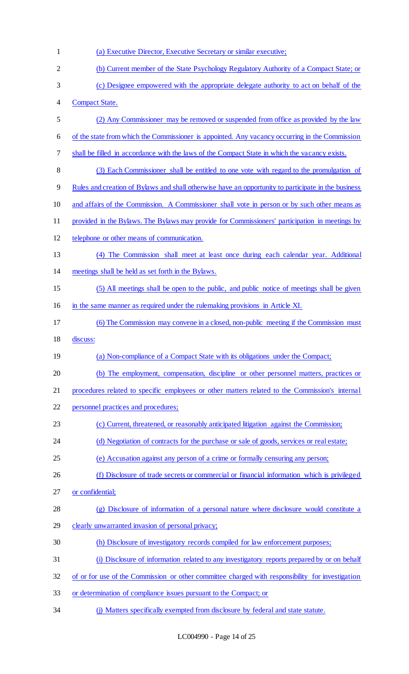| 1              | (a) Executive Director, Executive Secretary or similar executive;                                   |
|----------------|-----------------------------------------------------------------------------------------------------|
| $\overline{2}$ | (b) Current member of the State Psychology Regulatory Authority of a Compact State; or              |
| 3              | (c) Designee empowered with the appropriate delegate authority to act on behalf of the              |
| 4              | <b>Compact State.</b>                                                                               |
| 5              | (2) Any Commissioner may be removed or suspended from office as provided by the law                 |
| 6              | of the state from which the Commissioner is appointed. Any vacancy occurring in the Commission      |
| 7              | shall be filled in accordance with the laws of the Compact State in which the vacancy exists.       |
| 8              | (3) Each Commissioner shall be entitled to one vote with regard to the promulgation of              |
| 9              | Rules and creation of Bylaws and shall otherwise have an opportunity to participate in the business |
| 10             | and affairs of the Commission. A Commissioner shall vote in person or by such other means as        |
| 11             | provided in the Bylaws. The Bylaws may provide for Commissioners' participation in meetings by      |
| 12             | telephone or other means of communication.                                                          |
| 13             | (4) The Commission shall meet at least once during each calendar year. Additional                   |
| 14             | meetings shall be held as set forth in the Bylaws.                                                  |
| 15             | (5) All meetings shall be open to the public, and public notice of meetings shall be given          |
| 16             | in the same manner as required under the rulemaking provisions in Article XI.                       |
| 17             | (6) The Commission may convene in a closed, non-public meeting if the Commission must               |
| 18             | discuss:                                                                                            |
| 19             | (a) Non-compliance of a Compact State with its obligations under the Compact;                       |
| 20             | (b) The employment, compensation, discipline or other personnel matters, practices or               |
| 21             | procedures related to specific employees or other matters related to the Commission's internal      |
| 22             | personnel practices and procedures;                                                                 |
| 23             | (c) Current, threatened, or reasonably anticipated litigation against the Commission;               |
| 24             | (d) Negotiation of contracts for the purchase or sale of goods, services or real estate;            |
| 25             | (e) Accusation against any person of a crime or formally censuring any person;                      |
| 26             | (f) Disclosure of trade secrets or commercial or financial information which is privileged          |
| 27             | or confidential;                                                                                    |
| 28             | (g) Disclosure of information of a personal nature where disclosure would constitute a              |
| 29             | clearly unwarranted invasion of personal privacy;                                                   |
| 30             | (h) Disclosure of investigatory records compiled for law enforcement purposes;                      |
| 31             | (i) Disclosure of information related to any investigatory reports prepared by or on behalf         |
| 32             |                                                                                                     |
|                | of or for use of the Commission or other committee charged with responsibility for investigation    |
| 33             | or determination of compliance issues pursuant to the Compact; or                                   |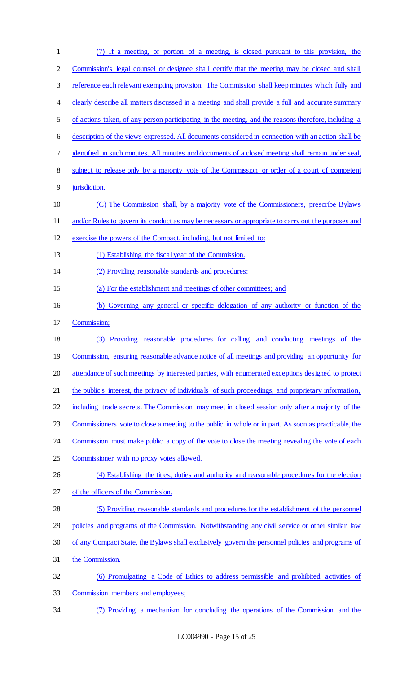| $\mathbf{1}$   | (7) If a meeting, or portion of a meeting, is closed pursuant to this provision, the                 |
|----------------|------------------------------------------------------------------------------------------------------|
| $\overline{2}$ | Commission's legal counsel or designee shall certify that the meeting may be closed and shall        |
| 3              | reference each relevant exempting provision. The Commission shall keep minutes which fully and       |
| 4              | clearly describe all matters discussed in a meeting and shall provide a full and accurate summary    |
| 5              | of actions taken, of any person participating in the meeting, and the reasons therefore, including a |
| 6              | description of the views expressed. All documents considered in connection with an action shall be   |
| 7              | identified in such minutes. All minutes and documents of a closed meeting shall remain under seal,   |
| 8              | subject to release only by a majority vote of the Commission or order of a court of competent        |
| 9              | jurisdiction.                                                                                        |
| 10             | (C) The Commission shall, by a majority vote of the Commissioners, prescribe Bylaws                  |
| 11             | and/or Rules to govern its conduct as may be necessary or appropriate to carry out the purposes and  |
| 12             | exercise the powers of the Compact, including, but not limited to:                                   |
| 13             | (1) Establishing the fiscal year of the Commission.                                                  |
| 14             | (2) Providing reasonable standards and procedures:                                                   |
| 15             | (a) For the establishment and meetings of other committees; and                                      |
| 16             | (b) Governing any general or specific delegation of any authority or function of the                 |
| 17             | Commission;                                                                                          |
| 18             | (3) Providing reasonable procedures for calling and conducting meetings of the                       |
| 19             | Commission, ensuring reasonable advance notice of all meetings and providing an opportunity for      |
| 20             | attendance of such meetings by interested parties, with enumerated exceptions designed to protect    |
| 21             | the public's interest, the privacy of individuals of such proceedings, and proprietary information,  |
| 22             | including trade secrets. The Commission may meet in closed session only after a majority of the      |
| 23             | Commissioners vote to close a meeting to the public in whole or in part. As soon as practicable, the |
| 24             | Commission must make public a copy of the vote to close the meeting revealing the vote of each       |
| 25             | Commissioner with no proxy votes allowed.                                                            |
| 26             | (4) Establishing the titles, duties and authority and reasonable procedures for the election         |
| 27             | of the officers of the Commission.                                                                   |
| 28             | (5) Providing reasonable standards and procedures for the establishment of the personnel             |
| 29             | policies and programs of the Commission. Notwithstanding any civil service or other similar law      |
| 30             | of any Compact State, the Bylaws shall exclusively govern the personnel policies and programs of     |
| 31             | the Commission.                                                                                      |
| 32             | (6) Promulgating a Code of Ethics to address permissible and prohibited activities of                |
| 33             | Commission members and employees;                                                                    |
| 34             | (7) Providing a mechanism for concluding the operations of the Commission and the                    |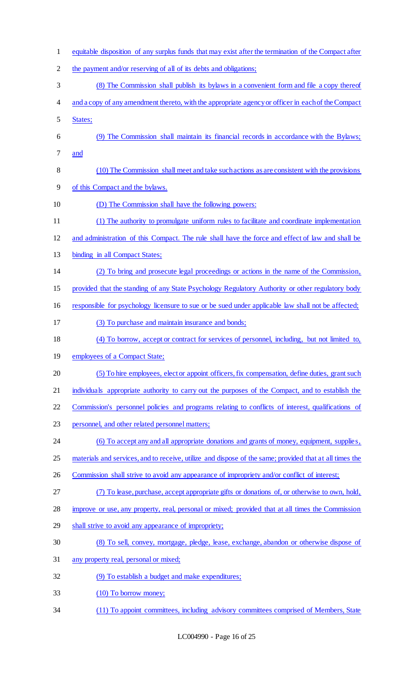equitable disposition of any surplus funds that may exist after the termination of the Compact after the payment and/or reserving of all of its debts and obligations; (8) The Commission shall publish its bylaws in a convenient form and file a copy thereof and a copy of any amendment thereto, with the appropriate agency or officer in each of the Compact States; (9) The Commission shall maintain its financial records in accordance with the Bylaws; and (10) The Commission shall meet and take such actions as are consistent with the provisions of this Compact and the bylaws. (D) The Commission shall have the following powers: (1) The authority to promulgate uniform rules to facilitate and coordinate implementation and administration of this Compact. The rule shall have the force and effect of law and shall be binding in all Compact States; (2) To bring and prosecute legal proceedings or actions in the name of the Commission, provided that the standing of any State Psychology Regulatory Authority or other regulatory body responsible for psychology licensure to sue or be sued under applicable law shall not be affected; (3) To purchase and maintain insurance and bonds; (4) To borrow, accept or contract for services of personnel, including, but not limited to, 19 employees of a Compact State; (5) To hire employees, elect or appoint officers, fix compensation, define duties, grant such individuals appropriate authority to carry out the purposes of the Compact, and to establish the Commission's personnel policies and programs relating to conflicts of interest, qualifications of personnel, and other related personnel matters; (6) To accept any and all appropriate donations and grants of money, equipment, supplies, 25 materials and services, and to receive, utilize and dispose of the same; provided that at all times the 26 Commission shall strive to avoid any appearance of impropriety and/or conflict of interest; (7) To lease, purchase, accept appropriate gifts or donations of, or otherwise to own, hold, improve or use, any property, real, personal or mixed; provided that at all times the Commission 29 shall strive to avoid any appearance of impropriety; (8) To sell, convey, mortgage, pledge, lease, exchange, abandon or otherwise dispose of any property real, personal or mixed; (9) To establish a budget and make expenditures; (10) To borrow money; (11) To appoint committees, including advisory committees comprised of Members, State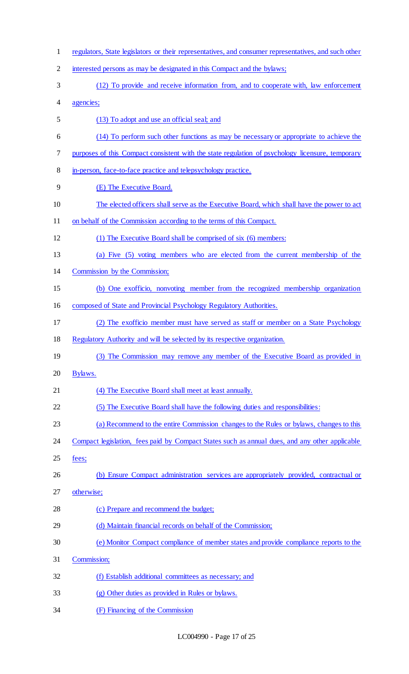regulators, State legislators or their representatives, and consumer representatives, and such other interested persons as may be designated in this Compact and the bylaws; (12) To provide and receive information from, and to cooperate with, law enforcement agencies; (13) To adopt and use an official seal; and (14) To perform such other functions as may be necessary or appropriate to achieve the purposes of this Compact consistent with the state regulation of psychology licensure, temporary in-person, face-to-face practice and telepsychology practice. (E) The Executive Board. The elected officers shall serve as the Executive Board, which shall have the power to act on behalf of the Commission according to the terms of this Compact. (1) The Executive Board shall be comprised of six (6) members: (a) Five (5) voting members who are elected from the current membership of the Commission by the Commission; (b) One exofficio, nonvoting member from the recognized membership organization composed of State and Provincial Psychology Regulatory Authorities. (2) The exofficio member must have served as staff or member on a State Psychology Regulatory Authority and will be selected by its respective organization. 19 (3) The Commission may remove any member of the Executive Board as provided in Bylaws. (4) The Executive Board shall meet at least annually. (5) The Executive Board shall have the following duties and responsibilities: (a) Recommend to the entire Commission changes to the Rules or bylaws, changes to this 24 Compact legislation, fees paid by Compact States such as annual dues, and any other applicable fees; 26 (b) Ensure Compact administration services are appropriately provided, contractual or otherwise; (c) Prepare and recommend the budget; (d) Maintain financial records on behalf of the Commission; (e) Monitor Compact compliance of member states and provide compliance reports to the Commission; (f) Establish additional committees as necessary; and (g) Other duties as provided in Rules or bylaws. (F) Financing of the Commission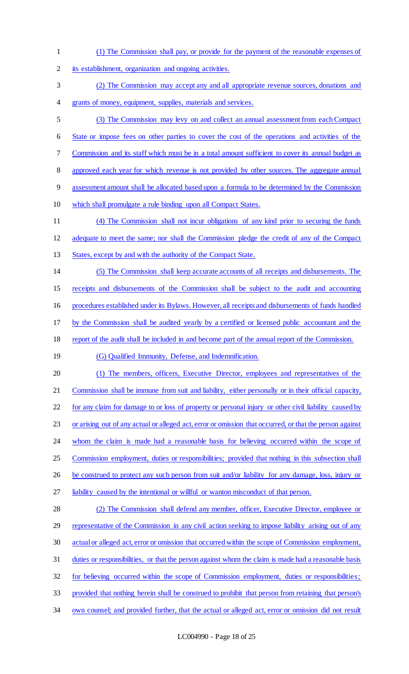- (1) The Commission shall pay, or provide for the payment of the reasonable expenses of
- its establishment, organization and ongoing activities.
- (2) The Commission may accept any and all appropriate revenue sources, donations and grants of money, equipment, supplies, materials and services.
- (3) The Commission may levy on and collect an annual assessment from each Compact State or impose fees on other parties to cover the cost of the operations and activities of the Commission and its staff which must be in a total amount sufficient to cover its annual budget as approved each year for which revenue is not provided by other sources. The aggregate annual assessment amount shall be allocated based upon a formula to be determined by the Commission
- which shall promulgate a rule binding upon all Compact States.
- (4) The Commission shall not incur obligations of any kind prior to securing the funds adequate to meet the same; nor shall the Commission pledge the credit of any of the Compact
- States, except by and with the authority of the Compact State.
- (5) The Commission shall keep accurate accounts of all receipts and disbursements. The
- receipts and disbursements of the Commission shall be subject to the audit and accounting

procedures established under its Bylaws. However, all receipts and disbursements of funds handled

- by the Commission shall be audited yearly by a certified or licensed public accountant and the
- 18 report of the audit shall be included in and become part of the annual report of the Commission.
- 19 (G) Qualified Immunity, Defense, and Indemnification.
- (1) The members, officers, Executive Director, employees and representatives of the Commission shall be immune from suit and liability, either personally or in their official capacity,
- 22 for any claim for damage to or loss of property or personal injury or other civil liability caused by
- or arising out of any actual or alleged act, error or omission that occurred, or that the person against
- 24 whom the claim is made had a reasonable basis for believing occurred within the scope of
- 25 Commission employment, duties or responsibilities; provided that nothing in this subsection shall
- 26 be construed to protect any such person from suit and/or liability for any damage, loss, injury or
- 27 liability caused by the intentional or willful or wanton misconduct of that person.
- 28 (2) The Commission shall defend any member, officer, Executive Director, employee or representative of the Commission in any civil action seeking to impose liability arising out of any actual or alleged act, error or omission that occurred within the scope of Commission employment, duties or responsibilities, or that the person against whom the claim is made had a reasonable basis for believing occurred within the scope of Commission employment, duties or responsibilities; provided that nothing herein shall be construed to prohibit that person from retaining that person's
- own counsel; and provided further, that the actual or alleged act, error or omission did not result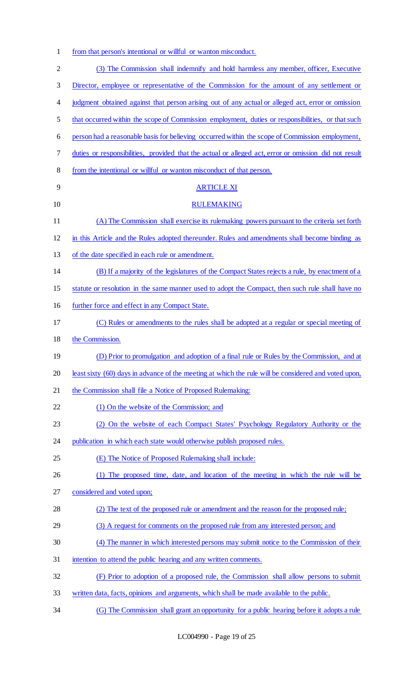1 from that person's intentional or willful or wanton misconduct.

| $\mathbf{2}$ | (3) The Commission shall indemnify and hold harmless any member, officer, Executive                   |
|--------------|-------------------------------------------------------------------------------------------------------|
| 3            | Director, employee or representative of the Commission for the amount of any settlement or            |
| 4            | judgment obtained against that person arising out of any actual or alleged act, error or omission     |
| 5            | that occurred within the scope of Commission employment, duties or responsibilities, or that such     |
| 6            | person had a reasonable basis for believing occurred within the scope of Commission employment,       |
| 7            | duties or responsibilities, provided that the actual or alleged act, error or omission did not result |
| 8            | from the intentional or willful or wanton misconduct of that person.                                  |
| 9            | <b>ARTICLE XI</b>                                                                                     |
| 10           | <b>RULEMAKING</b>                                                                                     |
| 11           | (A) The Commission shall exercise its rulemaking powers pursuant to the criteria set forth            |
| 12           | in this Article and the Rules adopted thereunder. Rules and amendments shall become binding as        |
| 13           | of the date specified in each rule or amendment.                                                      |
| 14           | (B) If a majority of the legislatures of the Compact States rejects a rule, by enactment of a         |
| 15           | statute or resolution in the same manner used to adopt the Compact, then such rule shall have no      |
| 16           | further force and effect in any Compact State.                                                        |
| 17           | (C) Rules or amendments to the rules shall be adopted at a regular or special meeting of              |
| 18           | the Commission.                                                                                       |
| 19           | (D) Prior to promulgation and adoption of a final rule or Rules by the Commission, and at             |
| 20           | least sixty (60) days in advance of the meeting at which the rule will be considered and voted upon,  |
| 21           | the Commission shall file a Notice of Proposed Rulemaking:                                            |
| 22           | (1) On the website of the Commission; and                                                             |
| 23           | (2) On the website of each Compact States' Psychology Regulatory Authority or the                     |
| 24           | publication in which each state would otherwise publish proposed rules.                               |
| 25           | (E) The Notice of Proposed Rulemaking shall include:                                                  |
| 26           | (1) The proposed time, date, and location of the meeting in which the rule will be                    |
| 27           | considered and voted upon;                                                                            |
| 28           | (2) The text of the proposed rule or amendment and the reason for the proposed rule;                  |
| 29           | (3) A request for comments on the proposed rule from any interested person; and                       |
| 30           | (4) The manner in which interested persons may submit notice to the Commission of their               |
| 31           | intention to attend the public hearing and any written comments.                                      |
| 32           | (F) Prior to adoption of a proposed rule, the Commission shall allow persons to submit                |
| 33           | written data, facts, opinions and arguments, which shall be made available to the public.             |
| 34           | (G) The Commission shall grant an opportunity for a public hearing before it adopts a rule            |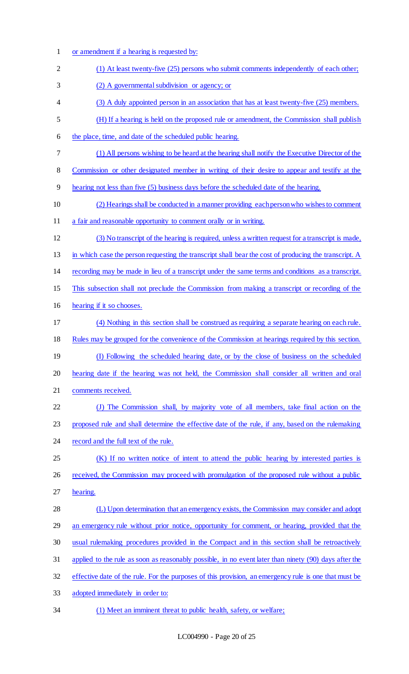or amendment if a hearing is requested by: 2 (1) At least twenty-five (25) persons who submit comments independently of each other; (2) A governmental subdivision or agency; or (3) A duly appointed person in an association that has at least twenty-five (25) members. (H) If a hearing is held on the proposed rule or amendment, the Commission shall publish 6 the place, time, and date of the scheduled public hearing. (1) All persons wishing to be heard at the hearing shall notify the Executive Director of the Commission or other designated member in writing of their desire to appear and testify at the hearing not less than five (5) business days before the scheduled date of the hearing. (2) Hearings shall be conducted in a manner providing each person who wishes to comment 11 a fair and reasonable opportunity to comment orally or in writing. (3) No transcript of the hearing is required, unless a written request for a transcript is made, in which case the person requesting the transcript shall bear the cost of producing the transcript. A recording may be made in lieu of a transcript under the same terms and conditions as a transcript. This subsection shall not preclude the Commission from making a transcript or recording of the hearing if it so chooses. (4) Nothing in this section shall be construed as requiring a separate hearing on each rule. Rules may be grouped for the convenience of the Commission at hearings required by this section. (I) Following the scheduled hearing date, or by the close of business on the scheduled hearing date if the hearing was not held, the Commission shall consider all written and oral comments received. (J) The Commission shall, by majority vote of all members, take final action on the proposed rule and shall determine the effective date of the rule, if any, based on the rulemaking 24 record and the full text of the rule. 25 (K) If no written notice of intent to attend the public hearing by interested parties is 26 received, the Commission may proceed with promulgation of the proposed rule without a public hearing. 28 (L) Upon determination that an emergency exists, the Commission may consider and adopt 29 an emergency rule without prior notice, opportunity for comment, or hearing, provided that the usual rulemaking procedures provided in the Compact and in this section shall be retroactively applied to the rule as soon as reasonably possible, in no event later than ninety (90) days after the effective date of the rule. For the purposes of this provision, an emergency rule is one that must be adopted immediately in order to: (1) Meet an imminent threat to public health, safety, or welfare;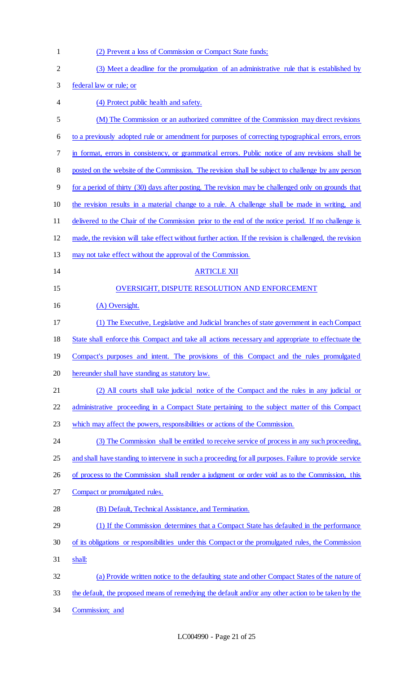| $\mathbf{1}$   | (2) Prevent a loss of Commission or Compact State funds;                                                |
|----------------|---------------------------------------------------------------------------------------------------------|
| $\overline{2}$ | (3) Meet a deadline for the promulgation of an administrative rule that is established by               |
| 3              | federal law or rule; or                                                                                 |
| 4              | (4) Protect public health and safety.                                                                   |
| 5              | (M) The Commission or an authorized committee of the Commission may direct revisions                    |
| 6              | to a previously adopted rule or amendment for purposes of correcting typographical errors, errors       |
| 7              | in format, errors in consistency, or grammatical errors. Public notice of any revisions shall be        |
| 8              | posted on the website of the Commission. The revision shall be subject to challenge by any person       |
| 9              | for a period of thirty (30) days after posting. The revision may be challenged only on grounds that     |
| 10             | the revision results in a material change to a rule. A challenge shall be made in writing, and          |
| 11             | delivered to the Chair of the Commission prior to the end of the notice period. If no challenge is      |
| 12             | made, the revision will take effect without further action. If the revision is challenged, the revision |
| 13             | may not take effect without the approval of the Commission.                                             |
| 14             | <b>ARTICLE XII</b>                                                                                      |
| 15             | <b>OVERSIGHT, DISPUTE RESOLUTION AND ENFORCEMENT</b>                                                    |
| 16             | (A) Oversight.                                                                                          |
| 17             | (1) The Executive, Legislative and Judicial branches of state government in each Compact                |
| 18             | State shall enforce this Compact and take all actions necessary and appropriate to effectuate the       |
| 19             | Compact's purposes and intent. The provisions of this Compact and the rules promulgated                 |
| 20             | hereunder shall have standing as statutory law.                                                         |
| 21             | (2) All courts shall take judicial notice of the Compact and the rules in any judicial or               |
| 22             | administrative proceeding in a Compact State pertaining to the subject matter of this Compact           |
| 23             | which may affect the powers, responsibilities or actions of the Commission.                             |
| 24             | (3) The Commission shall be entitled to receive service of process in any such proceeding,              |
| 25             | and shall have standing to intervene in such a proceeding for all purposes. Failure to provide service  |
| 26             | of process to the Commission shall render a judgment or order void as to the Commission, this           |
| 27             | Compact or promulgated rules.                                                                           |
| 28             | (B) Default, Technical Assistance, and Termination.                                                     |
| 29             | (1) If the Commission determines that a Compact State has defaulted in the performance                  |
| 30             | of its obligations or responsibilities under this Compact or the promulgated rules, the Commission      |
| 31             | shall:                                                                                                  |
| 32             | (a) Provide written notice to the defaulting state and other Compact States of the nature of            |
| 33             | the default, the proposed means of remedying the default and/or any other action to be taken by the     |
| 34             | Commission; and                                                                                         |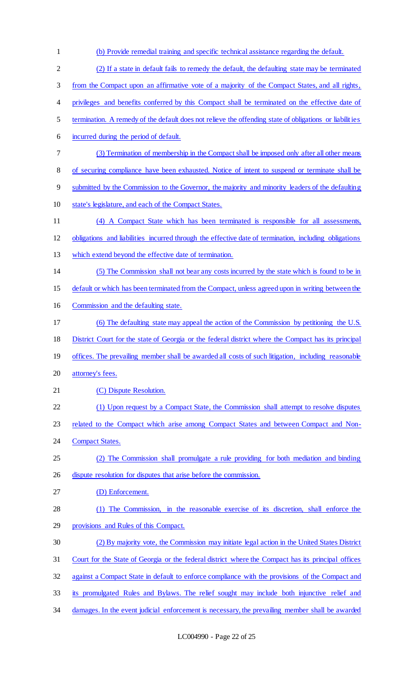(b) Provide remedial training and specific technical assistance regarding the default. (2) If a state in default fails to remedy the default, the defaulting state may be terminated from the Compact upon an affirmative vote of a majority of the Compact States, and all rights, 4 privileges and benefits conferred by this Compact shall be terminated on the effective date of termination. A remedy of the default does not relieve the offending state of obligations or liabilities incurred during the period of default. (3) Termination of membership in the Compact shall be imposed only after all other means of securing compliance have been exhausted. Notice of intent to suspend or terminate shall be submitted by the Commission to the Governor, the majority and minority leaders of the defaulting state's legislature, and each of the Compact States. (4) A Compact State which has been terminated is responsible for all assessments, obligations and liabilities incurred through the effective date of termination, including obligations which extend beyond the effective date of termination. (5) The Commission shall not bear any costs incurred by the state which is found to be in default or which has been terminated from the Compact, unless agreed upon in writing between the Commission and the defaulting state. (6) The defaulting state may appeal the action of the Commission by petitioning the U.S. District Court for the state of Georgia or the federal district where the Compact has its principal 19 offices. The prevailing member shall be awarded all costs of such litigation, including reasonable attorney's fees. 21 (C) Dispute Resolution. 22 (1) Upon request by a Compact State, the Commission shall attempt to resolve disputes related to the Compact which arise among Compact States and between Compact and Non-24 Compact States. (2) The Commission shall promulgate a rule providing for both mediation and binding dispute resolution for disputes that arise before the commission. (D) Enforcement. (1) The Commission, in the reasonable exercise of its discretion, shall enforce the provisions and Rules of this Compact. (2) By majority vote, the Commission may initiate legal action in the United States District Court for the State of Georgia or the federal district where the Compact has its principal offices against a Compact State in default to enforce compliance with the provisions of the Compact and its promulgated Rules and Bylaws. The relief sought may include both injunctive relief and 34 damages. In the event judicial enforcement is necessary, the prevailing member shall be awarded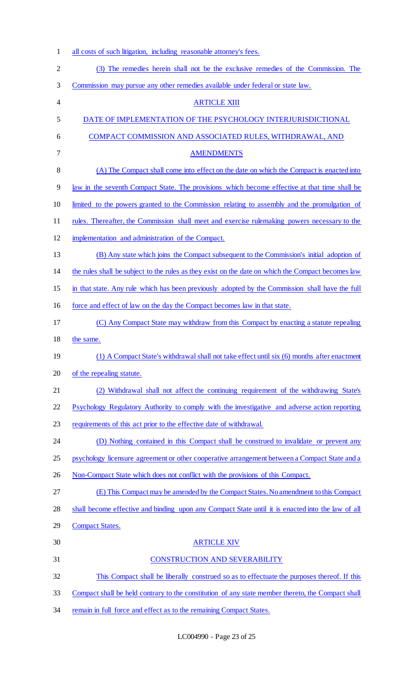| $\mathbf{1}$   | all costs of such litigation, including reasonable attorney's fees.                                |
|----------------|----------------------------------------------------------------------------------------------------|
| $\overline{2}$ | (3) The remedies herein shall not be the exclusive remedies of the Commission. The                 |
| 3              | Commission may pursue any other remedies available under federal or state law.                     |
| 4              | <b>ARTICLE XIII</b>                                                                                |
| 5              | DATE OF IMPLEMENTATION OF THE PSYCHOLOGY INTERJURISDICTIONAL                                       |
| 6              | COMPACT COMMISSION AND ASSOCIATED RULES, WITHDRAWAL, AND                                           |
| 7              | <b>AMENDMENTS</b>                                                                                  |
| 8              | (A) The Compact shall come into effect on the date on which the Compact is enacted into            |
| 9              | law in the seventh Compact State. The provisions which become effective at that time shall be      |
| 10             | limited to the powers granted to the Commission relating to assembly and the promulgation of       |
| 11             | rules. Thereafter, the Commission shall meet and exercise rulemaking powers necessary to the       |
| 12             | implementation and administration of the Compact.                                                  |
| 13             | (B) Any state which joins the Compact subsequent to the Commission's initial adoption of           |
| 14             | the rules shall be subject to the rules as they exist on the date on which the Compact becomes law |
| 15             | in that state. Any rule which has been previously adopted by the Commission shall have the full    |
| 16             | force and effect of law on the day the Compact becomes law in that state.                          |
| 17             | (C) Any Compact State may withdraw from this Compact by enacting a statute repealing               |
| 18             | the same.                                                                                          |
| 19             | (1) A Compact State's withdrawal shall not take effect until six (6) months after enactment        |
| 20             | of the repealing statute.                                                                          |
| 21             | (2) Withdrawal shall not affect the continuing requirement of the withdrawing State's              |
| 22             | Psychology Regulatory Authority to comply with the investigative and adverse action reporting      |
| 23             | requirements of this act prior to the effective date of withdrawal.                                |
| 24             | (D) Nothing contained in this Compact shall be construed to invalidate or prevent any              |
| 25             | psychology licensure agreement or other cooperative arrangement between a Compact State and a      |
| 26             | Non-Compact State which does not conflict with the provisions of this Compact.                     |
| 27             | (E) This Compact may be amended by the Compact States. No amendment to this Compact                |
| 28             | shall become effective and binding upon any Compact State until it is enacted into the law of all  |
| 29             | <b>Compact States.</b>                                                                             |
| 30             | <b>ARTICLE XIV</b>                                                                                 |
| 31             | <b>CONSTRUCTION AND SEVERABILITY</b>                                                               |
| 32             | This Compact shall be liberally construed so as to effectuate the purposes thereof. If this        |
| 33             | Compact shall be held contrary to the constitution of any state member thereto, the Compact shall  |
| 34             | remain in full force and effect as to the remaining Compact States.                                |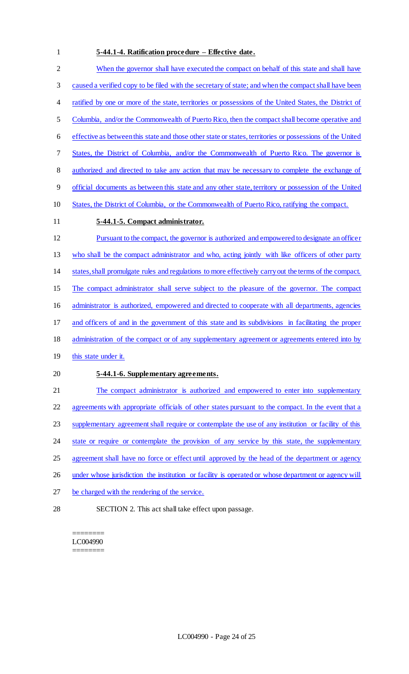#### 1 **5-44.1-4. Ratification procedure – Effective date.**

 When the governor shall have executed the compact on behalf of this state and shall have caused a verified copy to be filed with the secretary of state; and when the compact shall have been 4 ratified by one or more of the state, territories or possessions of the United States, the District of Columbia, and/or the Commonwealth of Puerto Rico, then the compact shall become operative and effective as between this state and those other state or states, territories or possessions of the United States, the District of Columbia, and/or the Commonwealth of Puerto Rico. The governor is authorized and directed to take any action that may be necessary to complete the exchange of official documents as between this state and any other state, territory or possession of the United States, the District of Columbia, or the Commonwealth of Puerto Rico, ratifying the compact. **5-44.1-5. Compact administrator.** Pursuant to the compact, the governor is authorized and empowered to designate an officer who shall be the compact administrator and who, acting jointly with like officers of other party states, shall promulgate rules and regulations to more effectively carry out the terms of the compact. The compact administrator shall serve subject to the pleasure of the governor. The compact 16 administrator is authorized, empowered and directed to cooperate with all departments, agencies and officers of and in the government of this state and its subdivisions in facilitating the proper administration of the compact or of any supplementary agreement or agreements entered into by 19 this state under it. **5-44.1-6. Supplementary agreements.** 21 The compact administrator is authorized and empowered to enter into supplementary 22 agreements with appropriate officials of other states pursuant to the compact. In the event that a supplementary agreement shall require or contemplate the use of any institution or facility of this 24 state or require or contemplate the provision of any service by this state, the supplementary 25 agreement shall have no force or effect until approved by the head of the department or agency 26 under whose jurisdiction the institution or facility is operated or whose department or agency will

- 27 be charged with the rendering of the service.
- 

28 SECTION 2. This act shall take effect upon passage.

======== LC004990 ========